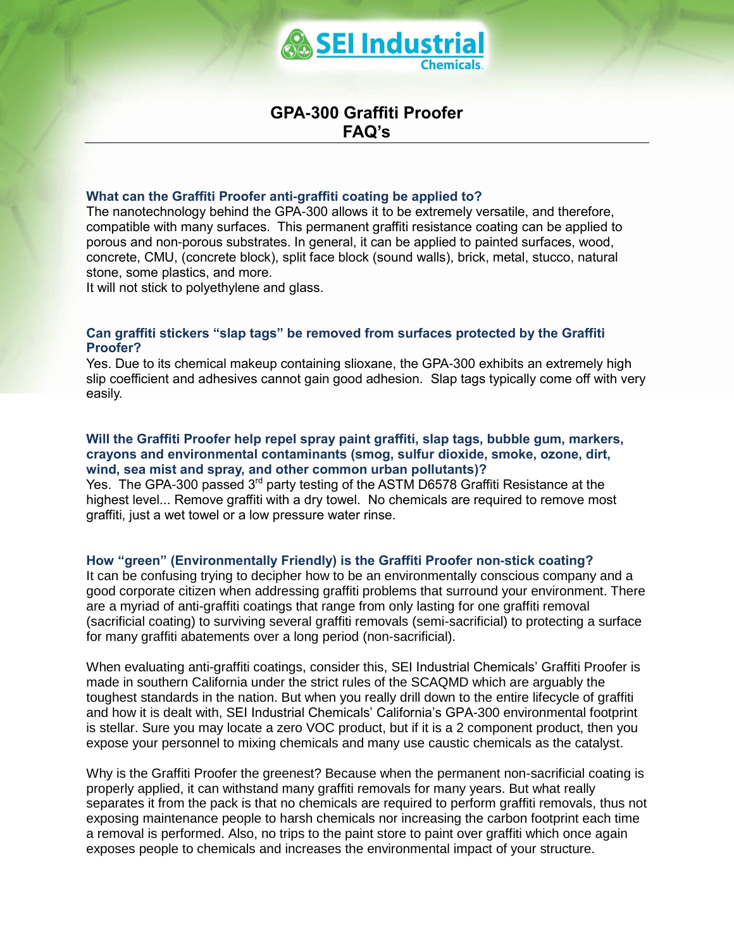

# **GPA-300 Graffiti Proofer FAQ's**

#### **What can the Graffiti Proofer anti-graffiti coating be applied to?**

The nanotechnology behind the GPA-300 allows it to be extremely versatile, and therefore, compatible with many surfaces. This permanent graffiti resistance coating can be applied to porous and non-porous substrates. In general, it can be applied to painted surfaces, wood, concrete, CMU, (concrete block), split face block (sound walls), brick, metal, stucco, natural stone, some plastics, and more.

It will not stick to polyethylene and glass.

# **Can graffiti stickers "slap tags" be removed from surfaces protected by the Graffiti Proofer?**

Yes. Due to its chemical makeup containing slioxane, the GPA-300 exhibits an extremely high slip coefficient and adhesives cannot gain good adhesion. Slap tags typically come off with very easily.

#### **Will the Graffiti Proofer help repel spray paint graffiti, slap tags, bubble gum, markers, crayons and environmental contaminants (smog, sulfur dioxide, smoke, ozone, dirt, wind, sea mist and spray, and other common urban pollutants)?**

Yes. The GPA-300 passed 3rd party testing of the ASTM D6578 Graffiti Resistance at the highest level... Remove graffiti with a dry towel. No chemicals are required to remove most graffiti, just a wet towel or a low pressure water rinse.

# **How "green" (Environmentally Friendly) is the Graffiti Proofer non-stick coating?**

It can be confusing trying to decipher how to be an environmentally conscious company and a good corporate citizen when addressing graffiti problems that surround your environment. There are a myriad of anti-graffiti coatings that range from only lasting for one graffiti removal (sacrificial coating) to surviving several graffiti removals (semi-sacrificial) to protecting a surface for many graffiti abatements over a long period (non-sacrificial).

When evaluating anti-graffiti coatings, consider this, SEI Industrial Chemicals' Graffiti Proofer is made in southern California under the strict rules of the SCAQMD which are arguably the toughest standards in the nation. But when you really drill down to the entire lifecycle of graffiti and how it is dealt with, SEI Industrial Chemicals' California's GPA-300 environmental footprint is stellar. Sure you may locate a zero VOC product, but if it is a 2 component product, then you expose your personnel to mixing chemicals and many use caustic chemicals as the catalyst.

Why is the Graffiti Proofer the greenest? Because when the permanent non-sacrificial coating is properly applied, it can withstand many graffiti removals for many years. But what really separates it from the pack is that no chemicals are required to perform graffiti removals, thus not exposing maintenance people to harsh chemicals nor increasing the carbon footprint each time a removal is performed. Also, no trips to the paint store to paint over graffiti which once again exposes people to chemicals and increases the environmental impact of your structure.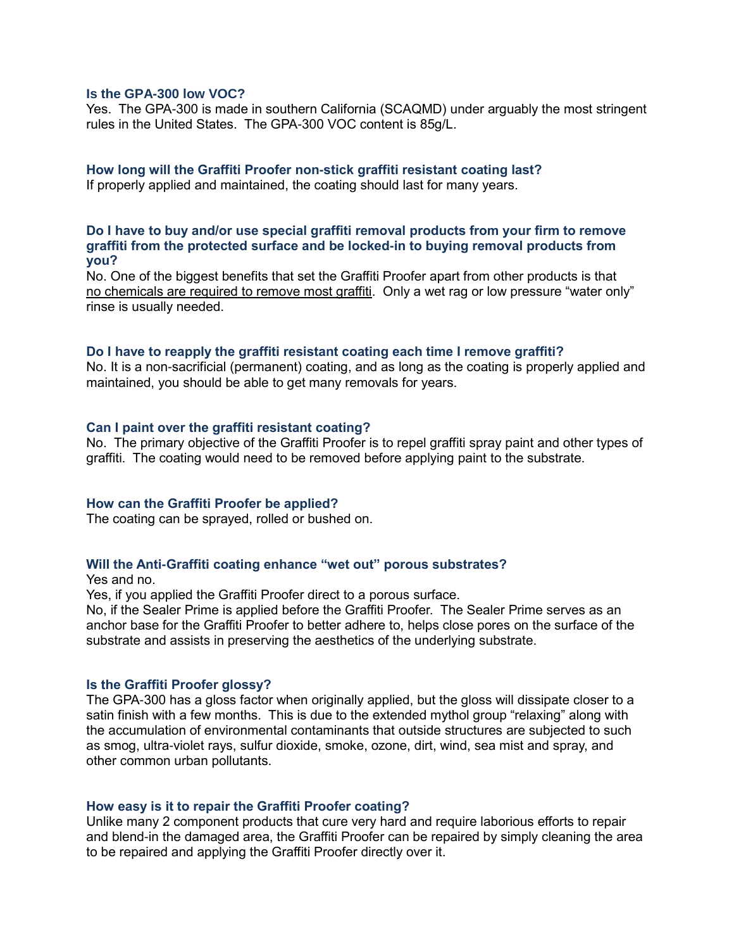# **Is the GPA-300 low VOC?**

Yes. The GPA-300 is made in southern California (SCAQMD) under arguably the most stringent rules in the United States. The GPA-300 VOC content is 85g/L.

# **How long will the Graffiti Proofer non-stick graffiti resistant coating last?**

If properly applied and maintained, the coating should last for many years.

# **Do I have to buy and/or use special graffiti removal products from your firm to remove graffiti from the protected surface and be locked-in to buying removal products from you?**

No. One of the biggest benefits that set the Graffiti Proofer apart from other products is that no chemicals are required to remove most graffiti. Only a wet rag or low pressure "water only" rinse is usually needed.

# **Do I have to reapply the graffiti resistant coating each time I remove graffiti?**

No. It is a non-sacrificial (permanent) coating, and as long as the coating is properly applied and maintained, you should be able to get many removals for years.

# **Can I paint over the graffiti resistant coating?**

No. The primary objective of the Graffiti Proofer is to repel graffiti spray paint and other types of graffiti. The coating would need to be removed before applying paint to the substrate.

# **How can the Graffiti Proofer be applied?**

The coating can be sprayed, rolled or bushed on.

# **Will the Anti-Graffiti coating enhance "wet out" porous substrates?**

Yes and no.

Yes, if you applied the Graffiti Proofer direct to a porous surface.

No, if the Sealer Prime is applied before the Graffiti Proofer. The Sealer Prime serves as an anchor base for the Graffiti Proofer to better adhere to, helps close pores on the surface of the substrate and assists in preserving the aesthetics of the underlying substrate.

# **Is the Graffiti Proofer glossy?**

The GPA-300 has a gloss factor when originally applied, but the gloss will dissipate closer to a satin finish with a few months. This is due to the extended mythol group "relaxing" along with the accumulation of environmental contaminants that outside structures are subjected to such as smog, ultra-violet rays, sulfur dioxide, smoke, ozone, dirt, wind, sea mist and spray, and other common urban pollutants.

# **How easy is it to repair the Graffiti Proofer coating?**

Unlike many 2 component products that cure very hard and require laborious efforts to repair and blend-in the damaged area, the Graffiti Proofer can be repaired by simply cleaning the area to be repaired and applying the Graffiti Proofer directly over it.